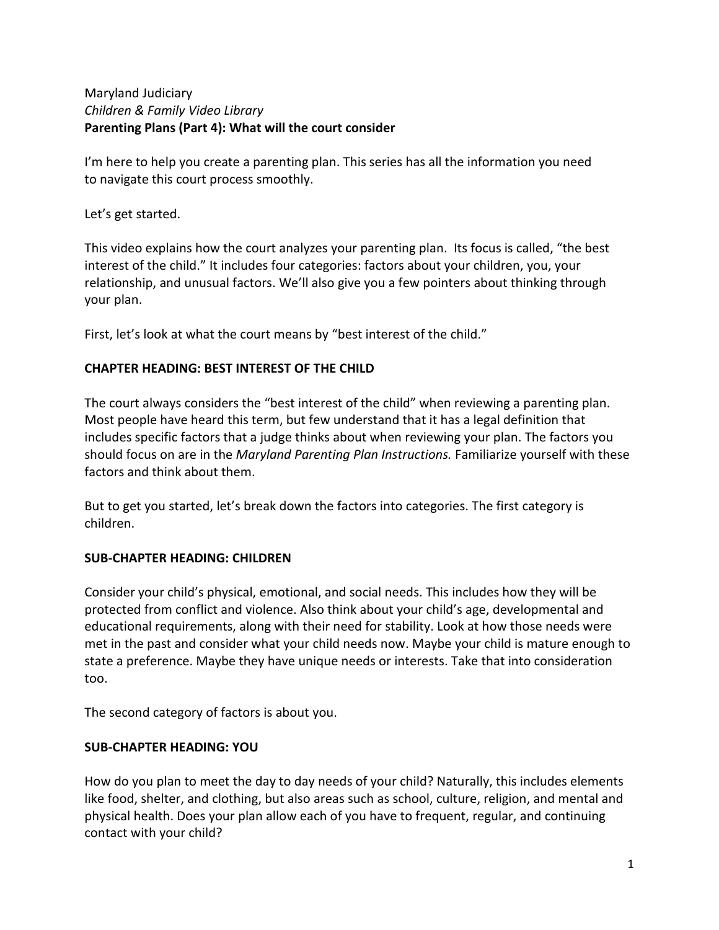## Maryland Judiciary *Children & Family Video Library* **Parenting Plans (Part 4): What will the court consider**

I'm here to help you create a parenting plan. This series has all the information you need to navigate this court process smoothly.

Let's get started.

This video explains how the court analyzes your parenting plan. Its focus is called, "the best interest of the child." It includes four categories: factors about your children, you, your relationship, and unusual factors. We'll also give you a few pointers about thinking through your plan.

First, let's look at what the court means by "best interest of the child."

## **CHAPTER HEADING: BEST INTEREST OF THE CHILD**

The court always considers the "best interest of the child" when reviewing a parenting plan. Most people have heard this term, but few understand that it has a legal definition that includes specific factors that a judge thinks about when reviewing your plan. The factors you should focus on are in the *Maryland Parenting Plan Instructions.* Familiarize yourself with these factors and think about them.

But to get you started, let's break down the factors into categories. The first category is children.

# **SUB-CHAPTER HEADING: CHILDREN**

Consider your child's physical, emotional, and social needs. This includes how they will be protected from conflict and violence. Also think about your child's age, developmental and educational requirements, along with their need for stability. Look at how those needs were met in the past and consider what your child needs now. Maybe your child is mature enough to state a preference. Maybe they have unique needs or interests. Take that into consideration too.

The second category of factors is about you.

## **SUB-CHAPTER HEADING: YOU**

How do you plan to meet the day to day needs of your child? Naturally, this includes elements like food, shelter, and clothing, but also areas such as school, culture, religion, and mental and physical health. Does your plan allow each of you have to frequent, regular, and continuing contact with your child?